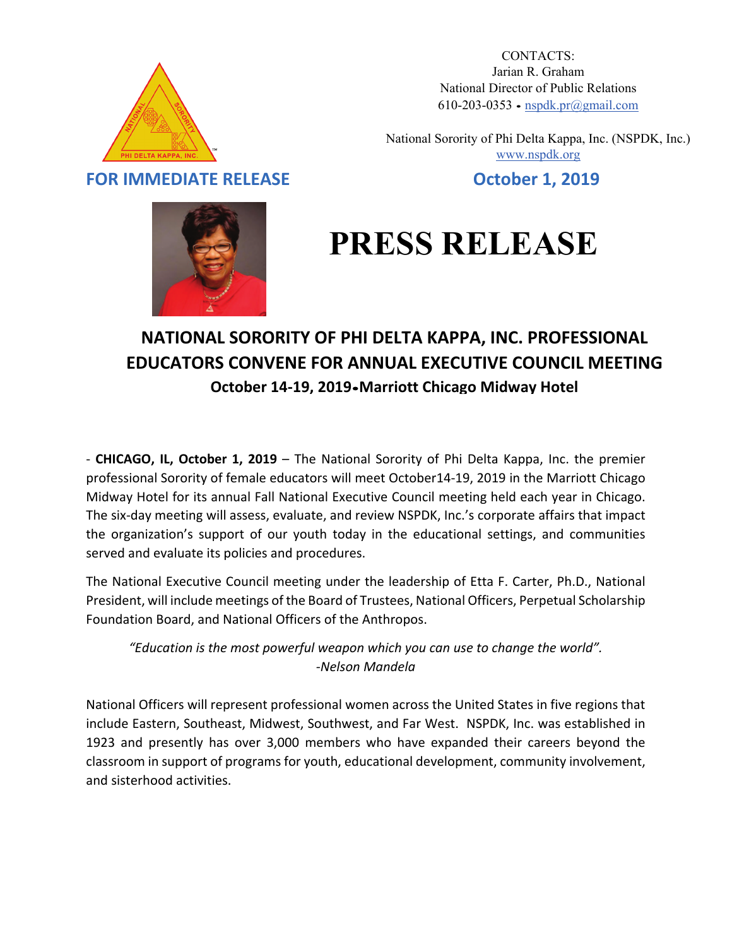

CONTACTS: Jarian R. Graham National Director of Public Relations 610-203-0353 ∙ [nspdk.pr@gmail.com](mailto:nspdk.pr@gmail.com)

National Sorority of Phi Delta Kappa, Inc. (NSPDK, Inc.) [www.nspdk.org](http://www.nspdk.org/)

**FOR IMMEDIATE RELEASE October 1, 2019**



## **PRESS RELEASE**

## **NATIONAL SORORITY OF PHI DELTA KAPPA, INC. PROFESSIONAL EDUCATORS CONVENE FOR ANNUAL EXECUTIVE COUNCIL MEETING October 14-19, 2019**∙**Marriott Chicago Midway Hotel**

- **CHICAGO, IL, October 1, 2019** – The National Sorority of Phi Delta Kappa, Inc. the premier professional Sorority of female educators will meet October14-19, 2019 in the Marriott Chicago Midway Hotel for its annual Fall National Executive Council meeting held each year in Chicago. The six-day meeting will assess, evaluate, and review NSPDK, Inc.'s corporate affairs that impact the organization's support of our youth today in the educational settings, and communities served and evaluate its policies and procedures.

The National Executive Council meeting under the leadership of Etta F. Carter, Ph.D., National President, will include meetings of the Board of Trustees, National Officers, Perpetual Scholarship Foundation Board, and National Officers of the Anthropos.

*"Education is the most powerful weapon which you can use to change the world". -Nelson Mandela*

National Officers will represent professional women across the United States in five regions that include Eastern, Southeast, Midwest, Southwest, and Far West. NSPDK, Inc. was established in 1923 and presently has over 3,000 members who have expanded their careers beyond the classroom in support of programs for youth, educational development, community involvement, and sisterhood activities.